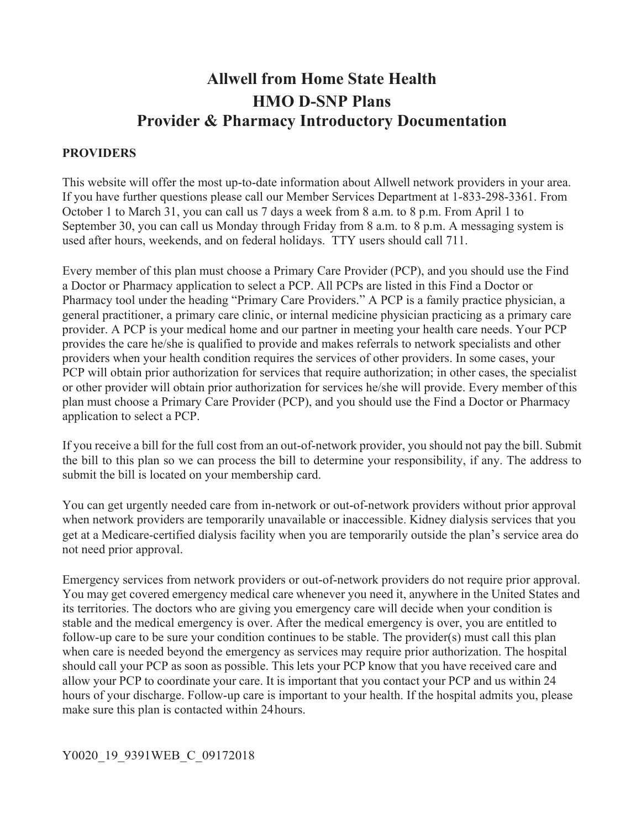# **Allwell from Home State Health HMO D-SNP Plans Provider & Pharmacy Introductory Documentation**

#### **PROVIDERS**

 October 1 to March 31, you can call us 7 days a week from 8 a.m. to 8 p.m. From April 1 to September 30, you can call us Monday through Friday from 8 a.m. to 8 p.m. A messaging system is This website will offer the most up-to-date information about Allwell network providers in your area. If you have further questions please call our Member Services Department at 1-833-298-3361. From used after hours, weekends, and on federal holidays. TTY users should call 711.

 plan must choose a Primary Care Provider (PCP), and you should use the Find a Doctor or Pharmacy Every member of this plan must choose a Primary Care Provider (PCP), and you should use the Find a Doctor or Pharmacy application to select a PCP. All PCPs are listed in this Find a Doctor or Pharmacy tool under the heading "Primary Care Providers." A PCP is a family practice physician, a general practitioner, a primary care clinic, or internal medicine physician practicing as a primary care provider. A PCP is your medical home and our partner in meeting your health care needs. Your PCP provides the care he/she is qualified to provide and makes referrals to network specialists and other providers when your health condition requires the services of other providers. In some cases, your PCP will obtain prior authorization for services that require authorization; in other cases, the specialist or other provider will obtain prior authorization for services he/she will provide. Every member of this application to select a PCP.

 the bill to this plan so we can process the bill to determine your responsibility, if any. The address to If you receive a bill for the full cost from an out-of-network provider, you should not pay the bill. Submit submit the bill is located on your membership card.

 get at a Medicare-certified dialysis facility when you are temporarily outside the plan's service area do You can get urgently needed care from in-network or out-of-network providers without prior approval when network providers are temporarily unavailable or inaccessible. Kidney dialysis services that you not need prior approval.

 make sure this plan is contacted within 24hours. Emergency services from network providers or out-of-network providers do not require prior approval. You may get covered emergency medical care whenever you need it, anywhere in the United States and its territories. The doctors who are giving you emergency care will decide when your condition is stable and the medical emergency is over. After the medical emergency is over, you are entitled to follow-up care to be sure your condition continues to be stable. The provider(s) must call this plan when care is needed beyond the emergency as services may require prior authorization. The hospital should call your PCP as soon as possible. This lets your PCP know that you have received care and allow your PCP to coordinate your care. It is important that you contact your PCP and us within 24 hours of your discharge. Follow-up care is important to your health. If the hospital admits you, please

#### Y0020\_19\_9391WEB\_C\_09172018